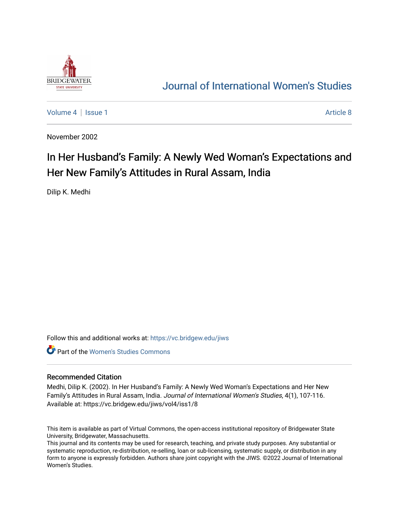

## [Journal of International Women's Studies](https://vc.bridgew.edu/jiws)

[Volume 4](https://vc.bridgew.edu/jiws/vol4) | [Issue 1](https://vc.bridgew.edu/jiws/vol4/iss1) Article 8

November 2002

# In Her Husband's Family: A Newly Wed Woman's Expectations and Her New Family's Attitudes in Rural Assam, India

Dilip K. Medhi

Follow this and additional works at: [https://vc.bridgew.edu/jiws](https://vc.bridgew.edu/jiws?utm_source=vc.bridgew.edu%2Fjiws%2Fvol4%2Fiss1%2F8&utm_medium=PDF&utm_campaign=PDFCoverPages)

**C** Part of the Women's Studies Commons

#### Recommended Citation

Medhi, Dilip K. (2002). In Her Husband's Family: A Newly Wed Woman's Expectations and Her New Family's Attitudes in Rural Assam, India. Journal of International Women's Studies, 4(1), 107-116. Available at: https://vc.bridgew.edu/jiws/vol4/iss1/8

This item is available as part of Virtual Commons, the open-access institutional repository of Bridgewater State University, Bridgewater, Massachusetts.

This journal and its contents may be used for research, teaching, and private study purposes. Any substantial or systematic reproduction, re-distribution, re-selling, loan or sub-licensing, systematic supply, or distribution in any form to anyone is expressly forbidden. Authors share joint copyright with the JIWS. ©2022 Journal of International Women's Studies.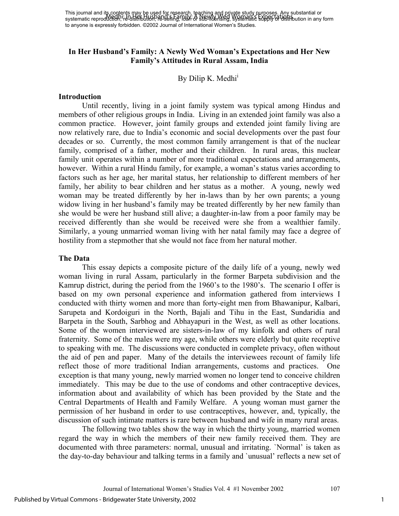#### **In Her Husband's Family: A Newly Wed Woman's Expectations and Her New Family's Attitudes in Rural Assam, India**

#### By D[i](#page-10-0)lip K. Medhi<sup>1</sup>

#### **Introduction**

Until recently, living in a joint family system was typical among Hindus and members of other religious groups in India. Living in an extended joint family was also a common practice. However, joint family groups and extended joint family living are now relatively rare, due to India's economic and social developments over the past four decades or so. Currently, the most common family arrangement is that of the nuclear family, comprised of a father, mother and their children. In rural areas, this nuclear family unit operates within a number of more traditional expectations and arrangements, however. Within a rural Hindu family, for example, a woman's status varies according to factors such as her age, her marital status, her relationship to different members of her family, her ability to bear children and her status as a mother. A young, newly wed woman may be treated differently by her in-laws than by her own parents; a young widow living in her husband's family may be treated differently by her new family than she would be were her husband still alive; a daughter-in-law from a poor family may be received differently than she would be received were she from a wealthier family. Similarly, a young unmarried woman living with her natal family may face a degree of hostility from a stepmother that she would not face from her natural mother.

#### **The Data**

This essay depicts a composite picture of the daily life of a young, newly wed woman living in rural Assam, particularly in the former Barpeta subdivision and the Kamrup district, during the period from the 1960's to the 1980's. The scenario I offer is based on my own personal experience and information gathered from interviews I conducted with thirty women and more than forty-eight men from Bhawanipur, Kalbari, Sarupeta and Kordoiguri in the North, Bajali and Tihu in the East, Sundaridia and Barpeta in the South, Sarbhog and Abhayapuri in the West, as well as other locations. Some of the women interviewed are sisters-in-law of my kinfolk and others of rural fraternity. Some of the males were my age, while others were elderly but quite receptive to speaking with me. The discussions were conducted in complete privacy, often without the aid of pen and paper. Many of the details the interviewees recount of family life reflect those of more traditional Indian arrangements, customs and practices. One exception is that many young, newly married women no longer tend to conceive children immediately. This may be due to the use of condoms and other contraceptive devices, information about and availability of which has been provided by the State and the Central Departments of Health and Family Welfare. A young woman must garner the permission of her husband in order to use contraceptives, however, and, typically, the discussion of such intimate matters is rare between husband and wife in many rural areas.

The following two tables show the way in which the thirty young, married women regard the way in which the members of their new family received them. They are documented with three parameters: normal, unusual and irritating. `Normal' is taken as the day-to-day behaviour and talking terms in a family and `unusual' reflects a new set of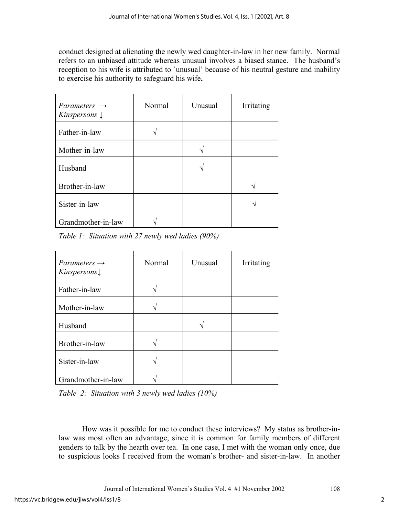conduct designed at alienating the newly wed daughter-in-law in her new family. Normal refers to an unbiased attitude whereas unusual involves a biased stance. The husband's reception to his wife is attributed to `unusual' because of his neutral gesture and inability to exercise his authority to safeguard his wife**.**

| Parameters $\rightarrow$<br><i>Kinspersons</i> $\downarrow$ | Normal | Unusual | Irritating |
|-------------------------------------------------------------|--------|---------|------------|
| Father-in-law                                               |        |         |            |
| Mother-in-law                                               |        |         |            |
| Husband                                                     |        |         |            |
| Brother-in-law                                              |        |         |            |
| Sister-in-law                                               |        |         |            |
| Grandmother-in-law                                          |        |         |            |

*Table 1: Situation with 27 newly wed ladies (90%)* 

| $Parameters \rightarrow$<br>Kinspersons | Normal | Unusual | Irritating |
|-----------------------------------------|--------|---------|------------|
| Father-in-law                           |        |         |            |
| Mother-in-law                           |        |         |            |
| Husband                                 |        |         |            |
| Brother-in-law                          |        |         |            |
| Sister-in-law                           |        |         |            |
| Grandmother-in-law                      |        |         |            |

*Table 2: Situation with 3 newly wed ladies (10%)* 

How was it possible for me to conduct these interviews? My status as brother-inlaw was most often an advantage, since it is common for family members of different genders to talk by the hearth over tea. In one case, I met with the woman only once, due to suspicious looks I received from the woman's brother- and sister-in-law. In another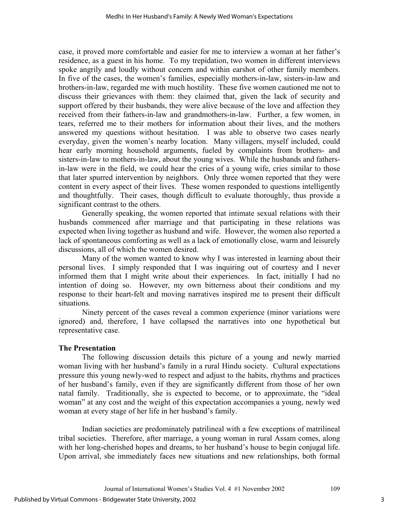case, it proved more comfortable and easier for me to interview a woman at her father's residence, as a guest in his home. To my trepidation, two women in different interviews spoke angrily and loudly without concern and within earshot of other family members. In five of the cases, the women's families, especially mothers-in-law, sisters-in-law and brothers-in-law, regarded me with much hostility. These five women cautioned me not to discuss their grievances with them: they claimed that, given the lack of security and support offered by their husbands, they were alive because of the love and affection they received from their fathers-in-law and grandmothers-in-law. Further, a few women, in tears, referred me to their mothers for information about their lives, and the mothers answered my questions without hesitation. I was able to observe two cases nearly everyday, given the women's nearby location. Many villagers, myself included, could hear early morning household arguments, fueled by complaints from brothers- and sisters-in-law to mothers-in-law, about the young wives. While the husbands and fathersin-law were in the field, we could hear the cries of a young wife, cries similar to those that later spurred intervention by neighbors. Only three women reported that they were content in every aspect of their lives. These women responded to questions intelligently and thoughtfully. Their cases, though difficult to evaluate thoroughly, thus provide a significant contrast to the others.

Generally speaking, the women reported that intimate sexual relations with their husbands commenced after marriage and that participating in these relations was expected when living together as husband and wife. However, the women also reported a lack of spontaneous comforting as well as a lack of emotionally close, warm and leisurely discussions, all of which the women desired.

Many of the women wanted to know why I was interested in learning about their personal lives. I simply responded that I was inquiring out of courtesy and I never informed them that I might write about their experiences. In fact, initially I had no intention of doing so. However, my own bitterness about their conditions and my response to their heart-felt and moving narratives inspired me to present their difficult situations.

Ninety percent of the cases reveal a common experience (minor variations were ignored) and, therefore, I have collapsed the narratives into one hypothetical but representative case.

### **The Presentation**

The following discussion details this picture of a young and newly married woman living with her husband's family in a rural Hindu society. Cultural expectations pressure this young newly-wed to respect and adjust to the habits, rhythms and practices of her husband's family, even if they are significantly different from those of her own natal family. Traditionally, she is expected to become, or to approximate, the "ideal woman" at any cost and the weight of this expectation accompanies a young, newly wed woman at every stage of her life in her husband's family.

Indian societies are predominately patrilineal with a few exceptions of matrilineal tribal societies. Therefore, after marriage, a young woman in rural Assam comes, along with her long-cherished hopes and dreams, to her husband's house to begin conjugal life. Upon arrival, she immediately faces new situations and new relationships, both formal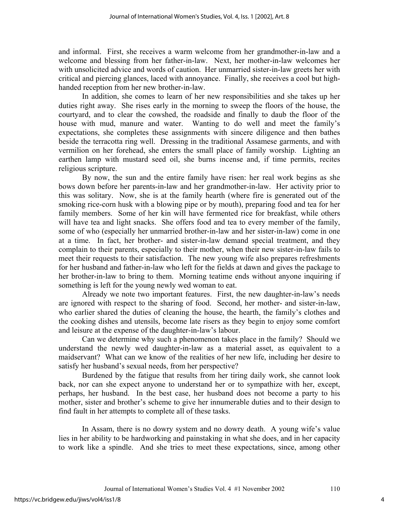and informal. First, she receives a warm welcome from her grandmother-in-law and a welcome and blessing from her father-in-law. Next, her mother-in-law welcomes her with unsolicited advice and words of caution. Her unmarried sister-in-law greets her with critical and piercing glances, laced with annoyance. Finally, she receives a cool but highhanded reception from her new brother-in-law.

In addition, she comes to learn of her new responsibilities and she takes up her duties right away. She rises early in the morning to sweep the floors of the house, the courtyard, and to clear the cowshed, the roadside and finally to daub the floor of the house with mud, manure and water. Wanting to do well and meet the family's expectations, she completes these assignments with sincere diligence and then bathes beside the terracotta ring well. Dressing in the traditional Assamese garments, and with vermilion on her forehead, she enters the small place of family worship. Lighting an earthen lamp with mustard seed oil, she burns incense and, if time permits, recites religious scripture.

By now, the sun and the entire family have risen: her real work begins as she bows down before her parents-in-law and her grandmother-in-law. Her activity prior to this was solitary. Now, she is at the family hearth (where fire is generated out of the smoking rice-corn husk with a blowing pipe or by mouth), preparing food and tea for her family members. Some of her kin will have fermented rice for breakfast, while others will have tea and light snacks. She offers food and tea to every member of the family, some of who (especially her unmarried brother-in-law and her sister-in-law) come in one at a time. In fact, her brother- and sister-in-law demand special treatment, and they complain to their parents, especially to their mother, when their new sister-in-law fails to meet their requests to their satisfaction. The new young wife also prepares refreshments for her husband and father-in-law who left for the fields at dawn and gives the package to her brother-in-law to bring to them. Morning teatime ends without anyone inquiring if something is left for the young newly wed woman to eat.

Already we note two important features. First, the new daughter-in-law's needs are ignored with respect to the sharing of food. Second, her mother- and sister-in-law, who earlier shared the duties of cleaning the house, the hearth, the family's clothes and the cooking dishes and utensils, become late risers as they begin to enjoy some comfort and leisure at the expense of the daughter-in-law's labour.

Can we determine why such a phenomenon takes place in the family? Should we understand the newly wed daughter-in-law as a material asset, as equivalent to a maidservant? What can we know of the realities of her new life, including her desire to satisfy her husband's sexual needs, from her perspective?

Burdened by the fatigue that results from her tiring daily work, she cannot look back, nor can she expect anyone to understand her or to sympathize with her, except, perhaps, her husband. In the best case, her husband does not become a party to his mother, sister and brother's scheme to give her innumerable duties and to their design to find fault in her attempts to complete all of these tasks.

In Assam, there is no dowry system and no dowry death. A young wife's value lies in her ability to be hardworking and painstaking in what she does, and in her capacity to work like a spindle. And she tries to meet these expectations, since, among other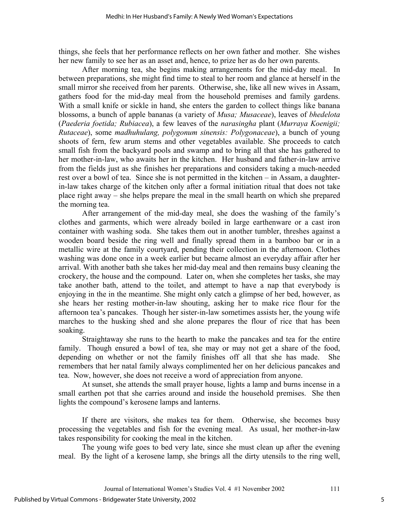things, she feels that her performance reflects on her own father and mother. She wishes her new family to see her as an asset and, hence, to prize her as do her own parents.

After morning tea, she begins making arrangements for the mid-day meal. In between preparations, she might find time to steal to her room and glance at herself in the small mirror she received from her parents. Otherwise, she, like all new wives in Assam, gathers food for the mid-day meal from the household premises and family gardens. With a small knife or sickle in hand, she enters the garden to collect things like banana blossoms, a bunch of apple bananas (a variety of *Musa; Musaceae*), leaves of *bhedelota* (*Paederia foetida; Rubiacea*), a few leaves of the *narasingha* plant (*Murraya Koenigii; Rutaceae*), some *madhuhulang, polygonum sinensis: Polygonaceae*), a bunch of young shoots of fern, few arum stems and other vegetables available. She proceeds to catch small fish from the backyard pools and swamp and to bring all that she has gathered to her mother-in-law, who awaits her in the kitchen. Her husband and father-in-law arrive from the fields just as she finishes her preparations and considers taking a much-needed rest over a bowl of tea. Since she is not permitted in the kitchen – in Assam, a daughterin-law takes charge of the kitchen only after a formal initiation ritual that does not take place right away – she helps prepare the meal in the small hearth on which she prepared the morning tea.

After arrangement of the mid-day meal, she does the washing of the family's clothes and garments, which were already boiled in large earthenware or a cast iron container with washing soda. She takes them out in another tumbler, threshes against a wooden board beside the ring well and finally spread them in a bamboo bar or in a metallic wire at the family courtyard, pending their collection in the afternoon. Clothes washing was done once in a week earlier but became almost an everyday affair after her arrival. With another bath she takes her mid-day meal and then remains busy cleaning the crockery, the house and the compound. Later on, when she completes her tasks, she may take another bath, attend to the toilet, and attempt to have a nap that everybody is enjoying in the in the meantime. She might only catch a glimpse of her bed, however, as she hears her resting mother-in-law shouting, asking her to make rice flour for the afternoon tea's pancakes. Though her sister-in-law sometimes assists her, the young wife marches to the husking shed and she alone prepares the flour of rice that has been soaking.

Straightaway she runs to the hearth to make the pancakes and tea for the entire family. Though ensured a bowl of tea, she may or may not get a share of the food, depending on whether or not the family finishes off all that she has made. She remembers that her natal family always complimented her on her delicious pancakes and tea. Now, however, she does not receive a word of appreciation from anyone.

At sunset, she attends the small prayer house, lights a lamp and burns incense in a small earthen pot that she carries around and inside the household premises. She then lights the compound's kerosene lamps and lanterns.

If there are visitors, she makes tea for them. Otherwise, she becomes busy processing the vegetables and fish for the evening meal. As usual, her mother-in-law takes responsibility for cooking the meal in the kitchen.

The young wife goes to bed very late, since she must clean up after the evening meal. By the light of a kerosene lamp, she brings all the dirty utensils to the ring well,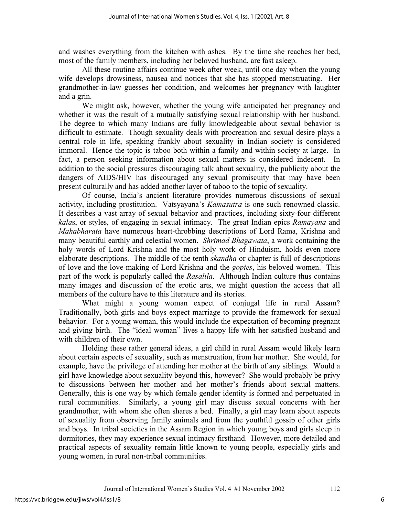and washes everything from the kitchen with ashes. By the time she reaches her bed, most of the family members, including her beloved husband, are fast asleep.

All these routine affairs continue week after week, until one day when the young wife develops drowsiness, nausea and notices that she has stopped menstruating. Her grandmother-in-law guesses her condition, and welcomes her pregnancy with laughter and a grin.

We might ask, however, whether the young wife anticipated her pregnancy and whether it was the result of a mutually satisfying sexual relationship with her husband. The degree to which many Indians are fully knowledgeable about sexual behavior is difficult to estimate. Though sexuality deals with procreation and sexual desire plays a central role in life, speaking frankly about sexuality in Indian society is considered immoral. Hence the topic is taboo both within a family and within society at large. In fact, a person seeking information about sexual matters is considered indecent. In addition to the social pressures discouraging talk about sexuality, the publicity about the dangers of AIDS/HIV has discouraged any sexual promiscuity that may have been present culturally and has added another layer of taboo to the topic of sexuality.

Of course, India's ancient literature provides numerous discussions of sexual activity, including prostitution. Vatsyayana's *Kamasutra* is one such renowned classic. It describes a vast array of sexual behavior and practices, including sixty-four different *kala*s, or styles, of engaging in sexual intimacy. The great Indian epics *Ramayana* and *Mahabharata* have numerous heart-throbbing descriptions of Lord Rama, Krishna and many beautiful earthly and celestial women. *Shrimad Bhagawata*, a work containing the holy words of Lord Krishna and the most holy work of Hinduism, holds even more elaborate descriptions. The middle of the tenth *skandha* or chapter is full of descriptions of love and the love-making of Lord Krishna and the *gopies*, his beloved women. This part of the work is popularly called the *Rasalila*. Although Indian culture thus contains many images and discussion of the erotic arts, we might question the access that all members of the culture have to this literature and its stories.

What might a young woman expect of conjugal life in rural Assam? Traditionally, both girls and boys expect marriage to provide the framework for sexual behavior. For a young woman, this would include the expectation of becoming pregnant and giving birth. The "ideal woman" lives a happy life with her satisfied husband and with children of their own.

Holding these rather general ideas, a girl child in rural Assam would likely learn about certain aspects of sexuality, such as menstruation, from her mother. She would, for example, have the privilege of attending her mother at the birth of any siblings. Would a girl have knowledge about sexuality beyond this, however? She would probably be privy to discussions between her mother and her mother's friends about sexual matters. Generally, this is one way by which female gender identity is formed and perpetuated in rural communities. Similarly, a young girl may discuss sexual concerns with her grandmother, with whom she often shares a bed. Finally, a girl may learn about aspects of sexuality from observing family animals and from the youthful gossip of other girls and boys. In tribal societies in the Assam Region in which young boys and girls sleep in dormitories, they may experience sexual intimacy firsthand. However, more detailed and practical aspects of sexuality remain little known to young people, especially girls and young women, in rural non-tribal communities.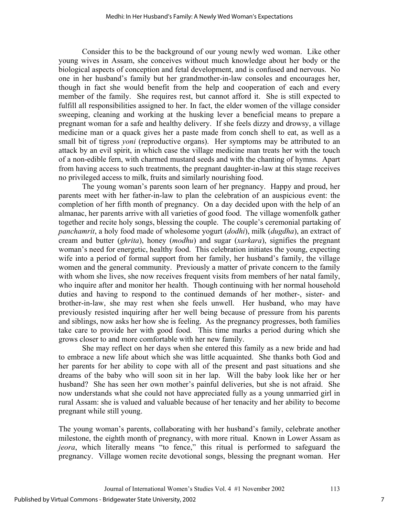Consider this to be the background of our young newly wed woman. Like other young wives in Assam, she conceives without much knowledge about her body or the biological aspects of conception and fetal development, and is confused and nervous. No one in her husband's family but her grandmother-in-law consoles and encourages her, though in fact she would benefit from the help and cooperation of each and every member of the family. She requires rest, but cannot afford it. She is still expected to fulfill all responsibilities assigned to her. In fact, the elder women of the village consider sweeping, cleaning and working at the husking lever a beneficial means to prepare a pregnant woman for a safe and healthy delivery. If she feels dizzy and drowsy, a village medicine man or a quack gives her a paste made from conch shell to eat, as well as a small bit of tigress *yoni* (reproductive organs). Her symptoms may be attributed to an attack by an evil spirit, in which case the village medicine man treats her with the touch of a non-edible fern, with charmed mustard seeds and with the chanting of hymns. Apart from having access to such treatments, the pregnant daughter-in-law at this stage receives no privileged access to milk, fruits and similarly nourishing food.

 The young woman's parents soon learn of her pregnancy. Happy and proud, her parents meet with her father-in-law to plan the celebration of an auspicious event: the completion of her fifth month of pregnancy. On a day decided upon with the help of an almanac, her parents arrive with all varieties of good food. The village womenfolk gather together and recite holy songs, blessing the couple. The couple's ceremonial partaking of *panchamrit*, a holy food made of wholesome yogurt (*dodhi*), milk (*dugdha*), an extract of cream and butter (*ghrita*), honey (*modhu*) and sugar (*xarkara*), signifies the pregnant woman's need for energetic, healthy food. This celebration initiates the young, expecting wife into a period of formal support from her family, her husband's family, the village women and the general community. Previously a matter of private concern to the family with whom she lives, she now receives frequent visits from members of her natal family, who inquire after and monitor her health. Though continuing with her normal household duties and having to respond to the continued demands of her mother-, sister- and brother-in-law, she may rest when she feels unwell. Her husband, who may have previously resisted inquiring after her well being because of pressure from his parents and siblings, now asks her how she is feeling. As the pregnancy progresses, both families take care to provide her with good food. This time marks a period during which she grows closer to and more comfortable with her new family.

She may reflect on her days when she entered this family as a new bride and had to embrace a new life about which she was little acquainted. She thanks both God and her parents for her ability to cope with all of the present and past situations and she dreams of the baby who will soon sit in her lap. Will the baby look like her or her husband? She has seen her own mother's painful deliveries, but she is not afraid. She now understands what she could not have appreciated fully as a young unmarried girl in rural Assam: she is valued and valuable because of her tenacity and her ability to become pregnant while still young.

The young woman's parents, collaborating with her husband's family, celebrate another milestone, the eighth month of pregnancy, with more ritual. Known in Lower Assam as *jeora*, which literally means "to fence," this ritual is performed to safeguard the pregnancy. Village women recite devotional songs, blessing the pregnant woman. Her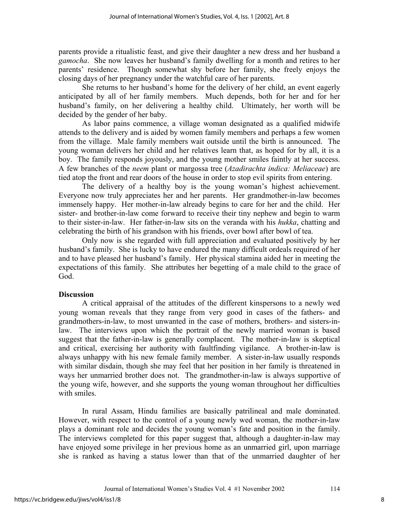parents provide a ritualistic feast, and give their daughter a new dress and her husband a *gamocha*. She now leaves her husband's family dwelling for a month and retires to her parents' residence. Though somewhat shy before her family, she freely enjoys the closing days of her pregnancy under the watchful care of her parents.

She returns to her husband's home for the delivery of her child, an event eagerly anticipated by all of her family members. Much depends, both for her and for her husband's family, on her delivering a healthy child. Ultimately, her worth will be decided by the gender of her baby.

As labor pains commence, a village woman designated as a qualified midwife attends to the delivery and is aided by women family members and perhaps a few women from the village. Male family members wait outside until the birth is announced. The young woman delivers her child and her relatives learn that, as hoped for by all, it is a boy. The family responds joyously, and the young mother smiles faintly at her success. A few branches of the *neem* plant or margossa tree (*Azadirachta indica: Meliaceae*) are tied atop the front and rear doors of the house in order to stop evil spirits from entering.

The delivery of a healthy boy is the young woman's highest achievement. Everyone now truly appreciates her and her parents. Her grandmother-in-law becomes immensely happy. Her mother-in-law already begins to care for her and the child. Her sister- and brother-in-law come forward to receive their tiny nephew and begin to warm to their sister-in-law. Her father-in-law sits on the veranda with his *hukka*, chatting and celebrating the birth of his grandson with his friends, over bowl after bowl of tea.

Only now is she regarded with full appreciation and evaluated positively by her husband's family. She is lucky to have endured the many difficult ordeals required of her and to have pleased her husband's family. Her physical stamina aided her in meeting the expectations of this family. She attributes her begetting of a male child to the grace of God.

### **Discussion**

A critical appraisal of the attitudes of the different kinspersons to a newly wed young woman reveals that they range from very good in cases of the fathers- and grandmothers-in-law, to most unwanted in the case of mothers, brothers- and sisters-inlaw. The interviews upon which the portrait of the newly married woman is based suggest that the father-in-law is generally complacent. The mother-in-law is skeptical and critical, exercising her authority with faultfinding vigilance. A brother-in-law is always unhappy with his new female family member. A sister-in-law usually responds with similar disdain, though she may feel that her position in her family is threatened in ways her unmarried brother does not. The grandmother-in-law is always supportive of the young wife, however, and she supports the young woman throughout her difficulties with smiles.

In rural Assam, Hindu families are basically patrilineal and male dominated. However, with respect to the control of a young newly wed woman, the mother-in-law plays a dominant role and decides the young woman's fate and position in the family. The interviews completed for this paper suggest that, although a daughter-in-law may have enjoyed some privilege in her previous home as an unmarried girl, upon marriage she is ranked as having a status lower than that of the unmarried daughter of her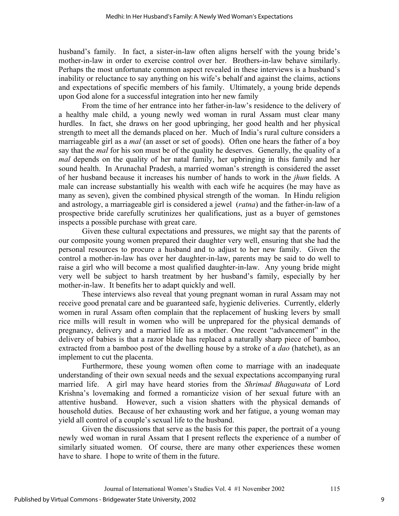husband's family. In fact, a sister-in-law often aligns herself with the young bride's mother-in-law in order to exercise control over her. Brothers-in-law behave similarly. Perhaps the most unfortunate common aspect revealed in these interviews is a husband's inability or reluctance to say anything on his wife's behalf and against the claims, actions and expectations of specific members of his family. Ultimately, a young bride depends upon God alone for a successful integration into her new family

From the time of her entrance into her father-in-law's residence to the delivery of a healthy male child, a young newly wed woman in rural Assam must clear many hurdles. In fact, she draws on her good upbringing, her good health and her physical strength to meet all the demands placed on her. Much of India's rural culture considers a marriageable girl as a *mal* (an asset or set of goods). Often one hears the father of a boy say that the *mal* for his son must be of the quality he deserves. Generally, the quality of a *mal* depends on the quality of her natal family, her upbringing in this family and her sound health. In Arunachal Pradesh, a married woman's strength is considered the asset of her husband because it increases his number of hands to work in the *jhum* fields. A male can increase substantially his wealth with each wife he acquires (he may have as many as seven), given the combined physical strength of the woman. In Hindu religion and astrology, a marriageable girl is considered a jewel (*ratna*) and the father-in-law of a prospective bride carefully scrutinizes her qualifications, just as a buyer of gemstones inspects a possible purchase with great care.

Given these cultural expectations and pressures, we might say that the parents of our composite young women prepared their daughter very well, ensuring that she had the personal resources to procure a husband and to adjust to her new family. Given the control a mother-in-law has over her daughter-in-law, parents may be said to do well to raise a girl who will become a most qualified daughter-in-law. Any young bride might very well be subject to harsh treatment by her husband's family, especially by her mother-in-law. It benefits her to adapt quickly and well.

These interviews also reveal that young pregnant woman in rural Assam may not receive good prenatal care and be guaranteed safe, hygienic deliveries. Currently, elderly women in rural Assam often complain that the replacement of husking levers by small rice mills will result in women who will be unprepared for the physical demands of pregnancy, delivery and a married life as a mother. One recent "advancement" in the delivery of babies is that a razor blade has replaced a naturally sharp piece of bamboo, extracted from a bamboo post of the dwelling house by a stroke of a *dao* (hatchet), as an implement to cut the placenta.

Furthermore, these young women often come to marriage with an inadequate understanding of their own sexual needs and the sexual expectations accompanying rural married life. A girl may have heard stories from the *Shrimad Bhagawata* of Lord Krishna's lovemaking and formed a romanticize vision of her sexual future with an attentive husband. However, such a vision shatters with the physical demands of household duties. Because of her exhausting work and her fatigue, a young woman may yield all control of a couple's sexual life to the husband.

Given the discussions that serve as the basis for this paper, the portrait of a young newly wed woman in rural Assam that I present reflects the experience of a number of similarly situated women. Of course, there are many other experiences these women have to share. I hope to write of them in the future.